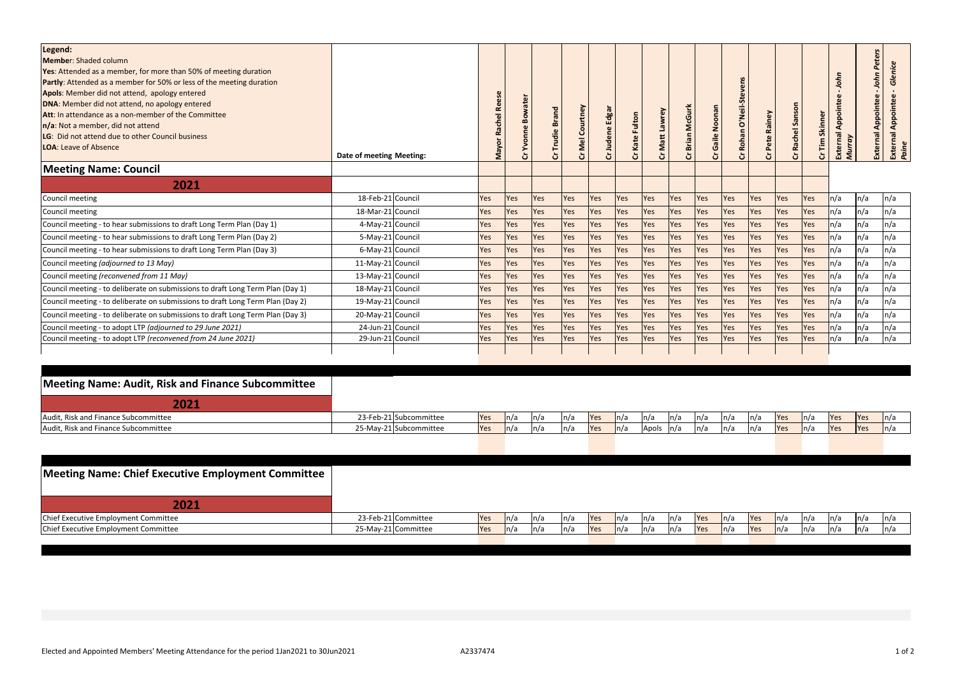| Legend:<br><b>Member: Shaded column</b><br>Yes: Attended as a member, for more than 50% of meeting duration<br><b>Partly:</b> Attended as a member for 50% or less of the meeting duration<br>Apols: Member did not attend, apology entered<br>DNA: Member did not attend, no apology entered<br>Att: In attendance as a non-member of the Committee<br>n/a: Not a member, did not attend<br>LG: Did not attend due to other Council business<br><b>LOA: Leave of Absence</b> | Date of meeting Meeting: | <b>Rees</b><br>Rachel<br>Mayor | <b>Bowater</b><br>δ<br>≻<br>ò | ៰   | Courtney<br>Cr Mel | Edgal<br>udene<br>ö | Kate Fulton<br>ò | Cr Matt Lawrey | <b>McGi</b><br>Brian | Gaile Noonan<br>ă | <u>ທ</u><br>O'Neil-S<br><b>Rohan</b><br>Ğ | Cr Pete Rainey | Sanson<br>Rachel<br>ង | Skinner<br>Cr Tim | Appointee<br>External<br>Murray |     | Peters<br>0<br>Appointee<br>External<br>External<br><i>Paine</i> |
|-------------------------------------------------------------------------------------------------------------------------------------------------------------------------------------------------------------------------------------------------------------------------------------------------------------------------------------------------------------------------------------------------------------------------------------------------------------------------------|--------------------------|--------------------------------|-------------------------------|-----|--------------------|---------------------|------------------|----------------|----------------------|-------------------|-------------------------------------------|----------------|-----------------------|-------------------|---------------------------------|-----|------------------------------------------------------------------|
| <b>Meeting Name: Council</b>                                                                                                                                                                                                                                                                                                                                                                                                                                                  |                          |                                |                               |     |                    |                     |                  |                |                      |                   |                                           |                |                       |                   |                                 |     |                                                                  |
| 2021                                                                                                                                                                                                                                                                                                                                                                                                                                                                          |                          |                                |                               |     |                    |                     |                  |                |                      |                   |                                           |                |                       |                   |                                 |     |                                                                  |
| Council meeting                                                                                                                                                                                                                                                                                                                                                                                                                                                               | 18-Feb-21 Council        | Yes                            | Yes                           | Yes | Yes                | Yes                 | Yes              | Yes            | Yes                  | <b>Yes</b>        | Yes                                       | <b>Yes</b>     | Yes                   | Yes               | n/a                             | n/a | n/a                                                              |
| Council meeting                                                                                                                                                                                                                                                                                                                                                                                                                                                               | 18-Mar-21 Council        | Yes                            | Yes                           | Yes | Yes                | Yes                 | Yes              | Yes            | Yes                  | Yes               | Yes                                       | <b>Yes</b>     | Yes                   | Yes               | $\ln/a$                         | n/a | n/a                                                              |
| Council meeting - to hear submissions to draft Long Term Plan (Day 1)                                                                                                                                                                                                                                                                                                                                                                                                         | 4-May-21 Council         | Yes                            | Yes                           | Yes | Yes                | Yes                 | Yes              | Yes            | Yes                  | Yes               | Yes                                       | <b>Yes</b>     | Yes                   | Yes               | n/a                             | n/a | n/a                                                              |
| Council meeting - to hear submissions to draft Long Term Plan (Day 2)                                                                                                                                                                                                                                                                                                                                                                                                         | 5-May-21 Council         | Yes                            | Yes                           | Yes | Yes                | Yes                 | Yes              | Yes            | Yes                  | Yes               | Yes                                       | <b>Yes</b>     | Yes                   | Yes               | n/a                             | n/a | n/a                                                              |
| Council meeting - to hear submissions to draft Long Term Plan (Day 3)                                                                                                                                                                                                                                                                                                                                                                                                         | 6-May-21 Council         | Yes                            | Yes                           | Yes | Yes                | Yes                 | Yes              | Yes            | <b>Yes</b>           | Yes               | Yes                                       | <b>Yes</b>     | Yes                   | Yes               | n/a                             | n/a | n/a                                                              |
| Council meeting (adjourned to 13 May)                                                                                                                                                                                                                                                                                                                                                                                                                                         | 11-May-21 Council        | Yes                            | Yes                           | Yes | Yes                | Yes                 | Yes              | Yes            | Yes                  | Yes               | Yes                                       | <b>Yes</b>     | Yes                   | Yes               | ln/a                            | n/a | n/a                                                              |
| Council meeting (reconvened from 11 May)                                                                                                                                                                                                                                                                                                                                                                                                                                      | 13-May-21 Council        | Yes                            | Yes                           | Yes | Yes                | Yes                 | Yes              | Yes            | Yes                  | Yes               | Yes                                       | <b>Yes</b>     | <b>Yes</b>            | Yes               | ln/a                            | n/a | n/a                                                              |
| Council meeting - to deliberate on submissions to draft Long Term Plan (Day 1)                                                                                                                                                                                                                                                                                                                                                                                                | 18-May-21 Council        | Yes                            | Yes                           | Yes | Yes                | Yes                 | Yes              | Yes            | Yes                  | Yes               | Yes                                       | <b>Yes</b>     | Yes                   | Yes               | n/a                             | n/a | n/a                                                              |
| Council meeting - to deliberate on submissions to draft Long Term Plan (Day 2)                                                                                                                                                                                                                                                                                                                                                                                                | 19-May-21 Council        | Yes                            | Yes                           | Yes | Yes                | Yes                 | Yes              | Yes            | Yes                  | <b>Yes</b>        | <b>Yes</b>                                | <b>Yes</b>     | Yes                   | Yes               | n/a                             | n/a | n/a                                                              |
| Council meeting - to deliberate on submissions to draft Long Term Plan (Day 3)                                                                                                                                                                                                                                                                                                                                                                                                | 20-May-21 Council        | Yes                            | Yes                           | Yes | Yes                | Yes                 | Yes              | Yes            | Yes                  | <b>Yes</b>        | Yes                                       | <b>Yes</b>     | <b>Yes</b>            | Yes               | n/a                             | n/a | n/a                                                              |
| Council meeting - to adopt LTP (adjourned to 29 June 2021)                                                                                                                                                                                                                                                                                                                                                                                                                    | 24-Jun-21 Council        | Yes                            | Yes                           | Yes | Yes                | Yes                 | Yes              | Yes            | Yes                  | <b>Yes</b>        | Yes                                       | <b>Yes</b>     | Yes                   | Yes               | $\ln/a$                         | n/a | n/a                                                              |
| Council meeting - to adopt LTP (reconvened from 24 June 2021)                                                                                                                                                                                                                                                                                                                                                                                                                 | 29-Jun-21 Council        | Yes                            | Yes                           | Yes | Yes                | Yes                 | Yes              | Yes            | Yes                  | Yes               | Yes                                       | <b>Yes</b>     | Yes                   | Yes               | ln/a                            | n/a | n/a                                                              |
|                                                                                                                                                                                                                                                                                                                                                                                                                                                                               |                          |                                |                               |     |                    |                     |                  |                |                      |                   |                                           |                |                       |                   |                                 |     |                                                                  |

| Meeting Name: Audit, Risk and Finance Subcommittee |                        |            |      |      |      |            |      |       |         |                       |     |     |              |      |            |             |      |
|----------------------------------------------------|------------------------|------------|------|------|------|------------|------|-------|---------|-----------------------|-----|-----|--------------|------|------------|-------------|------|
| 2021                                               |                        |            |      |      |      |            |      |       |         |                       |     |     |              |      |            |             |      |
| Audit, Risk and Finance Subcommittee               | 23-Feb-21 Subcommittee | Yes        | ln/a | ln/a | n/a  | <b>Yes</b> | n/a  | ln/a  | $\ln/a$ | $\lfloor n/a \rfloor$ | n/a | n/a | <b>P</b> es  | ln/a | Yes        | <b>P</b>    | In/2 |
| Audit, Risk and Finance Subcommittee               | 25-May-21 Subcommittee | <b>Yes</b> |      | ln/a | In/a | <b>Yes</b> | ln/a | Apols | In/a    | ln/a                  | n/a | n/a | <b>P</b> Yes | In/a | <b>Yes</b> | <b>IYes</b> |      |
|                                                    |                        |            |      |      |      |            |      |       |         |                       |     |     |              |      |            |             |      |
|                                                    |                        |            |      |      |      |            |      |       |         |                       |     |     |              |      |            |             |      |

| Meeting Name: Chief Executive Employment Committee |                     |             |      |      |            |      |         |      |            |         |     |      |                          |      |      |  |
|----------------------------------------------------|---------------------|-------------|------|------|------------|------|---------|------|------------|---------|-----|------|--------------------------|------|------|--|
| 2021                                               |                     |             |      |      |            |      |         |      |            |         |     |      |                          |      |      |  |
| Chief Executive Employment Committee               | 23-Feb-21 Committee | <b>IYes</b> |      | In/a | <b>Yes</b> | n/a  | $\ln/a$ | ln/a | <b>Yes</b> | $\ln/a$ | Yes | ln/a | ln/a                     | ln/a | n/a  |  |
| Chief Executive Employment Committee               | 25-May-21 Committee | <b>Yes</b>  | In/a | In/a | Yes        | ln/a | $\ln/a$ | ln/a | <b>Yes</b> | ln/a    | Yes | ln/a | $\mathsf{In}/\mathsf{a}$ | ln/a | ln/a |  |